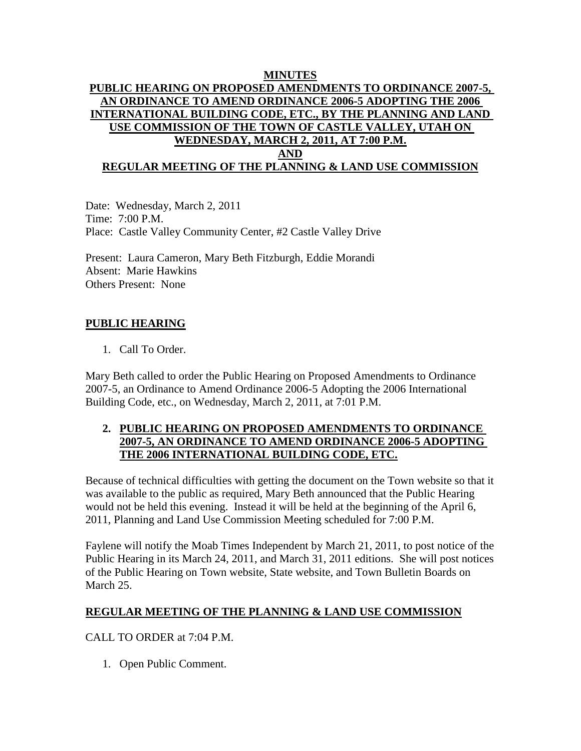## **MINUTES PUBLIC HEARING ON PROPOSED AMENDMENTS TO ORDINANCE 2007-5, AN ORDINANCE TO AMEND ORDINANCE 2006-5 ADOPTING THE 2006 INTERNATIONAL BUILDING CODE, ETC., BY THE PLANNING AND LAND USE COMMISSION OF THE TOWN OF CASTLE VALLEY, UTAH ON WEDNESDAY, MARCH 2, 2011, AT 7:00 P.M. AND REGULAR MEETING OF THE PLANNING & LAND USE COMMISSION**

Date: Wednesday, March 2, 2011 Time: 7:00 P.M. Place: Castle Valley Community Center, #2 Castle Valley Drive

Present: Laura Cameron, Mary Beth Fitzburgh, Eddie Morandi Absent: Marie Hawkins Others Present: None

# **PUBLIC HEARING**

1. Call To Order.

Mary Beth called to order the Public Hearing on Proposed Amendments to Ordinance 2007-5, an Ordinance to Amend Ordinance 2006-5 Adopting the 2006 International Building Code, etc., on Wednesday, March 2, 2011, at 7:01 P.M.

## **2. PUBLIC HEARING ON PROPOSED AMENDMENTS TO ORDINANCE 2007-5, AN ORDINANCE TO AMEND ORDINANCE 2006-5 ADOPTING THE 2006 INTERNATIONAL BUILDING CODE, ETC.**

Because of technical difficulties with getting the document on the Town website so that it was available to the public as required, Mary Beth announced that the Public Hearing would not be held this evening. Instead it will be held at the beginning of the April 6, 2011, Planning and Land Use Commission Meeting scheduled for 7:00 P.M.

Faylene will notify the Moab Times Independent by March 21, 2011, to post notice of the Public Hearing in its March 24, 2011, and March 31, 2011 editions. She will post notices of the Public Hearing on Town website, State website, and Town Bulletin Boards on March 25.

#### **REGULAR MEETING OF THE PLANNING & LAND USE COMMISSION**

CALL TO ORDER at 7:04 P.M.

1. Open Public Comment.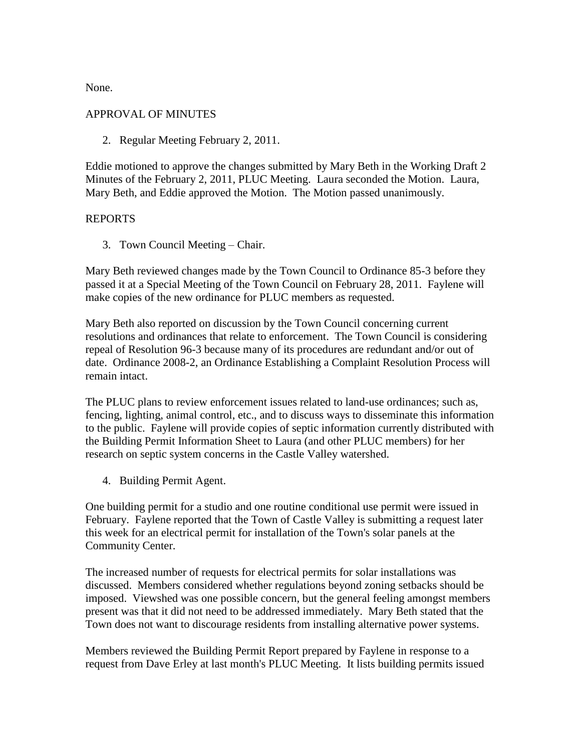None.

## APPROVAL OF MINUTES

2. Regular Meeting February 2, 2011.

Eddie motioned to approve the changes submitted by Mary Beth in the Working Draft 2 Minutes of the February 2, 2011, PLUC Meeting. Laura seconded the Motion. Laura, Mary Beth, and Eddie approved the Motion. The Motion passed unanimously.

## REPORTS

3. Town Council Meeting – Chair.

Mary Beth reviewed changes made by the Town Council to Ordinance 85-3 before they passed it at a Special Meeting of the Town Council on February 28, 2011. Faylene will make copies of the new ordinance for PLUC members as requested.

Mary Beth also reported on discussion by the Town Council concerning current resolutions and ordinances that relate to enforcement. The Town Council is considering repeal of Resolution 96-3 because many of its procedures are redundant and/or out of date. Ordinance 2008-2, an Ordinance Establishing a Complaint Resolution Process will remain intact.

The PLUC plans to review enforcement issues related to land-use ordinances; such as, fencing, lighting, animal control, etc., and to discuss ways to disseminate this information to the public. Faylene will provide copies of septic information currently distributed with the Building Permit Information Sheet to Laura (and other PLUC members) for her research on septic system concerns in the Castle Valley watershed.

4. Building Permit Agent.

One building permit for a studio and one routine conditional use permit were issued in February. Faylene reported that the Town of Castle Valley is submitting a request later this week for an electrical permit for installation of the Town's solar panels at the Community Center.

The increased number of requests for electrical permits for solar installations was discussed. Members considered whether regulations beyond zoning setbacks should be imposed. Viewshed was one possible concern, but the general feeling amongst members present was that it did not need to be addressed immediately. Mary Beth stated that the Town does not want to discourage residents from installing alternative power systems.

Members reviewed the Building Permit Report prepared by Faylene in response to a request from Dave Erley at last month's PLUC Meeting. It lists building permits issued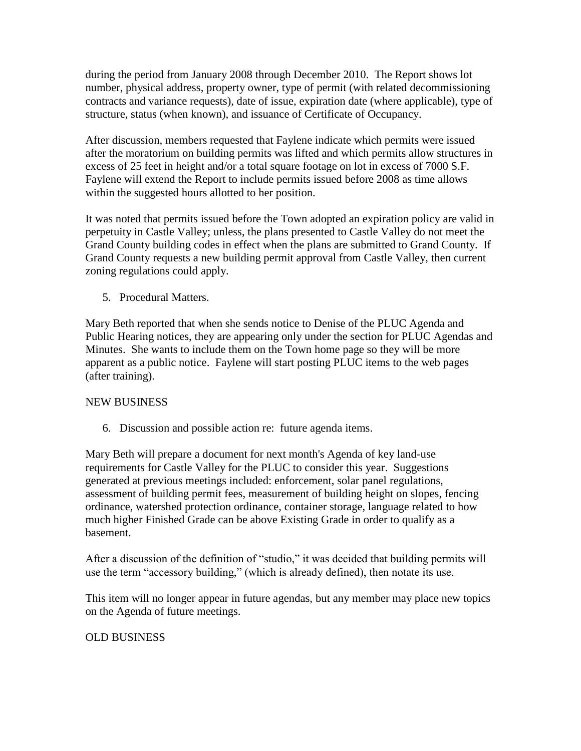during the period from January 2008 through December 2010. The Report shows lot number, physical address, property owner, type of permit (with related decommissioning contracts and variance requests), date of issue, expiration date (where applicable), type of structure, status (when known), and issuance of Certificate of Occupancy.

After discussion, members requested that Faylene indicate which permits were issued after the moratorium on building permits was lifted and which permits allow structures in excess of 25 feet in height and/or a total square footage on lot in excess of 7000 S.F. Faylene will extend the Report to include permits issued before 2008 as time allows within the suggested hours allotted to her position.

It was noted that permits issued before the Town adopted an expiration policy are valid in perpetuity in Castle Valley; unless, the plans presented to Castle Valley do not meet the Grand County building codes in effect when the plans are submitted to Grand County. If Grand County requests a new building permit approval from Castle Valley, then current zoning regulations could apply.

5. Procedural Matters.

Mary Beth reported that when she sends notice to Denise of the PLUC Agenda and Public Hearing notices, they are appearing only under the section for PLUC Agendas and Minutes. She wants to include them on the Town home page so they will be more apparent as a public notice. Faylene will start posting PLUC items to the web pages (after training).

# NEW BUSINESS

6. Discussion and possible action re: future agenda items.

Mary Beth will prepare a document for next month's Agenda of key land-use requirements for Castle Valley for the PLUC to consider this year. Suggestions generated at previous meetings included: enforcement, solar panel regulations, assessment of building permit fees, measurement of building height on slopes, fencing ordinance, watershed protection ordinance, container storage, language related to how much higher Finished Grade can be above Existing Grade in order to qualify as a basement.

After a discussion of the definition of "studio," it was decided that building permits will use the term "accessory building," (which is already defined), then notate its use.

This item will no longer appear in future agendas, but any member may place new topics on the Agenda of future meetings.

# OLD BUSINESS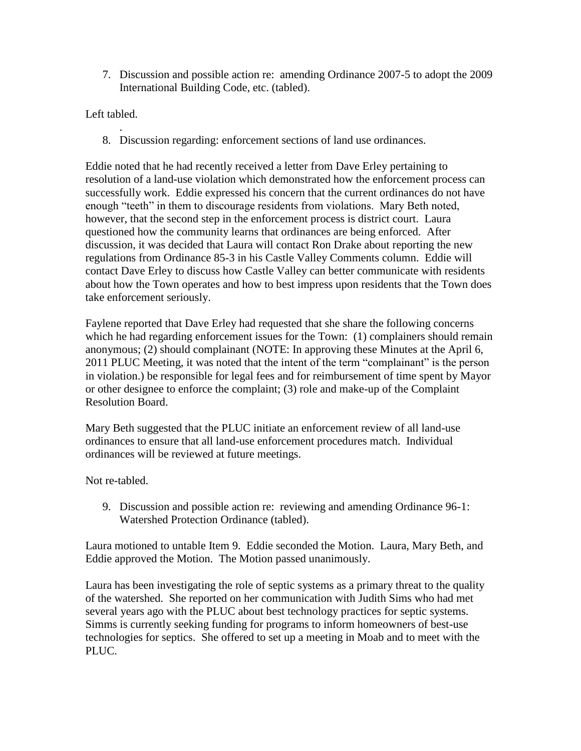7. Discussion and possible action re: amending Ordinance 2007-5 to adopt the 2009 International Building Code, etc. (tabled).

Left tabled.

. 8. Discussion regarding: enforcement sections of land use ordinances.

Eddie noted that he had recently received a letter from Dave Erley pertaining to resolution of a land-use violation which demonstrated how the enforcement process can successfully work. Eddie expressed his concern that the current ordinances do not have enough "teeth" in them to discourage residents from violations. Mary Beth noted, however, that the second step in the enforcement process is district court. Laura questioned how the community learns that ordinances are being enforced. After discussion, it was decided that Laura will contact Ron Drake about reporting the new regulations from Ordinance 85-3 in his Castle Valley Comments column. Eddie will contact Dave Erley to discuss how Castle Valley can better communicate with residents about how the Town operates and how to best impress upon residents that the Town does take enforcement seriously.

Faylene reported that Dave Erley had requested that she share the following concerns which he had regarding enforcement issues for the Town: (1) complainers should remain anonymous; (2) should complainant (NOTE: In approving these Minutes at the April 6, 2011 PLUC Meeting, it was noted that the intent of the term "complainant" is the person in violation.) be responsible for legal fees and for reimbursement of time spent by Mayor or other designee to enforce the complaint; (3) role and make-up of the Complaint Resolution Board.

Mary Beth suggested that the PLUC initiate an enforcement review of all land-use ordinances to ensure that all land-use enforcement procedures match. Individual ordinances will be reviewed at future meetings.

Not re-tabled.

9. Discussion and possible action re: reviewing and amending Ordinance 96-1: Watershed Protection Ordinance (tabled).

Laura motioned to untable Item 9. Eddie seconded the Motion. Laura, Mary Beth, and Eddie approved the Motion. The Motion passed unanimously.

Laura has been investigating the role of septic systems as a primary threat to the quality of the watershed. She reported on her communication with Judith Sims who had met several years ago with the PLUC about best technology practices for septic systems. Simms is currently seeking funding for programs to inform homeowners of best-use technologies for septics. She offered to set up a meeting in Moab and to meet with the PLUC.